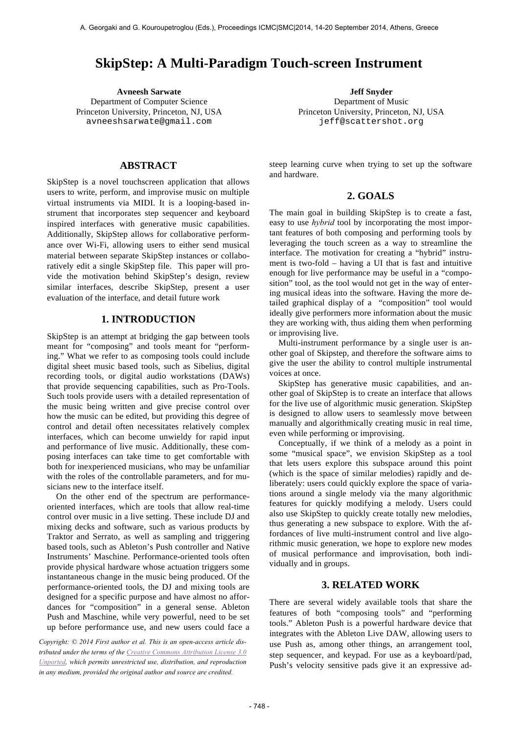# **SkipStep: A Multi-Paradigm Touch-screen Instrument**

**Avneesh Sarwate Jeff Snyder** Department of Computer Science Princeton University, Princeton, NJ, USA avneeshsarwate@gmail.com

**ABSTRACT** 

SkipStep is a novel touchscreen application that allows users to write, perform, and improvise music on multiple virtual instruments via MIDI. It is a looping-based instrument that incorporates step sequencer and keyboard inspired interfaces with generative music capabilities. Additionally, SkipStep allows for collaborative performance over Wi-Fi, allowing users to either send musical material between separate SkipStep instances or collaboratively edit a single SkipStep file. This paper will provide the motivation behind SkipStep's design, review similar interfaces, describe SkipStep, present a user evaluation of the interface, and detail future work

# **1. INTRODUCTION**

SkipStep is an attempt at bridging the gap between tools meant for "composing" and tools meant for "performing." What we refer to as composing tools could include digital sheet music based tools, such as Sibelius, digital recording tools, or digital audio workstations (DAWs) that provide sequencing capabilities, such as Pro-Tools. Such tools provide users with a detailed representation of the music being written and give precise control over how the music can be edited, but providing this degree of control and detail often necessitates relatively complex interfaces, which can become unwieldy for rapid input and performance of live music. Additionally, these composing interfaces can take time to get comfortable with both for inexperienced musicians, who may be unfamiliar with the roles of the controllable parameters, and for musicians new to the interface itself.

On the other end of the spectrum are performanceoriented interfaces, which are tools that allow real-time control over music in a live setting. These include DJ and mixing decks and software, such as various products by Traktor and Serrato, as well as sampling and triggering based tools, such as Ableton's Push controller and Native Instruments' Maschine. Performance-oriented tools often provide physical hardware whose actuation triggers some instantaneous change in the music being produced. Of the performance-oriented tools, the DJ and mixing tools are designed for a specific purpose and have almost no affordances for "composition" in a general sense. Ableton Push and Maschine, while very powerful, need to be set up before performance use, and new users could face a

*Copyright: © 2014 First author et al. This is an open-access article distributed under the terms of the Creative Commons Attribution License 3.0 Unported, which permits unrestricted use, distribution, and reproduction in any medium, provided the original author and source are credited.*

Department of Music Princeton University, Princeton, NJ, USA jeff@scattershot.org

steep learning curve when trying to set up the software and hardware.

# **2. GOALS**

The main goal in building SkipStep is to create a fast, easy to use *hybrid* tool by incorporating the most important features of both composing and performing tools by leveraging the touch screen as a way to streamline the interface. The motivation for creating a "hybrid" instrument is two-fold – having a UI that is fast and intuitive enough for live performance may be useful in a "composition" tool, as the tool would not get in the way of entering musical ideas into the software. Having the more detailed graphical display of a "composition" tool would ideally give performers more information about the music they are working with, thus aiding them when performing or improvising live.

Multi-instrument performance by a single user is another goal of Skipstep, and therefore the software aims to give the user the ability to control multiple instrumental voices at once.

SkipStep has generative music capabilities, and another goal of SkipStep is to create an interface that allows for the live use of algorithmic music generation. SkipStep is designed to allow users to seamlessly move between manually and algorithmically creating music in real time, even while performing or improvising.

Conceptually, if we think of a melody as a point in some "musical space", we envision SkipStep as a tool that lets users explore this subspace around this point (which is the space of similar melodies) rapidly and deliberately: users could quickly explore the space of variations around a single melody via the many algorithmic features for quickly modifying a melody. Users could also use SkipStep to quickly create totally new melodies, thus generating a new subspace to explore. With the affordances of live multi-instrument control and live algorithmic music generation, we hope to explore new modes of musical performance and improvisation, both individually and in groups.

### **3. RELATED WORK**

There are several widely available tools that share the features of both "composing tools" and "performing tools." Ableton Push is a powerful hardware device that integrates with the Ableton Live DAW, allowing users to use Push as, among other things, an arrangement tool, step sequencer, and keypad. For use as a keyboard/pad, Push's velocity sensitive pads give it an expressive ad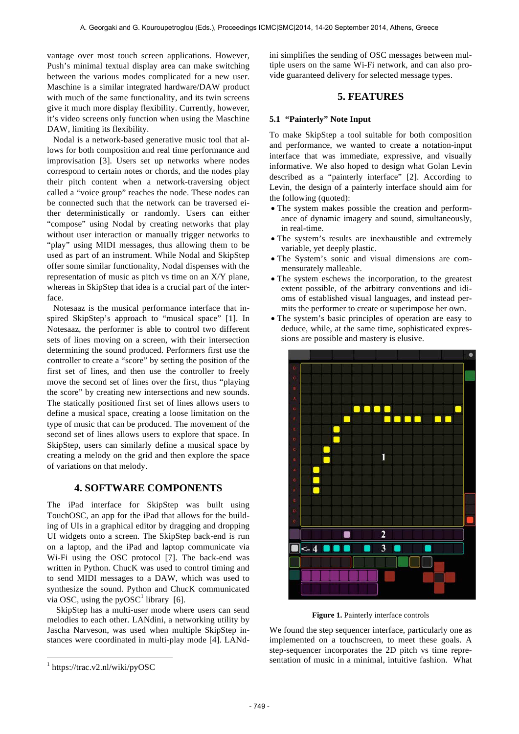vantage over most touch screen applications. However, Push's minimal textual display area can make switching between the various modes complicated for a new user. Maschine is a similar integrated hardware/DAW product with much of the same functionality, and its twin screens give it much more display flexibility. Currently, however, it's video screens only function when using the Maschine DAW, limiting its flexibility.

Nodal is a network-based generative music tool that allows for both composition and real time performance and improvisation [3]. Users set up networks where nodes correspond to certain notes or chords, and the nodes play their pitch content when a network-traversing object called a "voice group" reaches the node. These nodes can be connected such that the network can be traversed either deterministically or randomly. Users can either "compose" using Nodal by creating networks that play without user interaction or manually trigger networks to "play" using MIDI messages, thus allowing them to be used as part of an instrument. While Nodal and SkipStep offer some similar functionality, Nodal dispenses with the representation of music as pitch vs time on an X/Y plane, whereas in SkipStep that idea is a crucial part of the interface.

Notesaaz is the musical performance interface that inspired SkipStep's approach to "musical space" [1]. In Notesaaz, the performer is able to control two different sets of lines moving on a screen, with their intersection determining the sound produced. Performers first use the controller to create a "score" by setting the position of the first set of lines, and then use the controller to freely move the second set of lines over the first, thus "playing the score" by creating new intersections and new sounds. The statically positioned first set of lines allows users to define a musical space, creating a loose limitation on the type of music that can be produced. The movement of the second set of lines allows users to explore that space. In SkipStep, users can similarly define a musical space by creating a melody on the grid and then explore the space of variations on that melody.

# **4. SOFTWARE COMPONENTS**

The iPad interface for SkipStep was built using TouchOSC, an app for the iPad that allows for the building of UIs in a graphical editor by dragging and dropping UI widgets onto a screen. The SkipStep back-end is run on a laptop, and the iPad and laptop communicate via Wi-Fi using the OSC protocol [7]. The back-end was written in Python. ChucK was used to control timing and to send MIDI messages to a DAW, which was used to synthesize the sound. Python and ChucK communicated via OSC, using the pyOSC<sup>1</sup> library [6].

SkipStep has a multi-user mode where users can send melodies to each other. LANdini, a networking utility by Jascha Narveson, was used when multiple SkipStep instances were coordinated in multi-play mode [4]. LANd-

1

ini simplifies the sending of OSC messages between multiple users on the same Wi-Fi network, and can also provide guaranteed delivery for selected message types.

# **5. FEATURES**

#### **5.1 "Painterly" Note Input**

To make SkipStep a tool suitable for both composition and performance, we wanted to create a notation-input interface that was immediate, expressive, and visually informative. We also hoped to design what Golan Levin described as a "painterly interface" [2]. According to Levin, the design of a painterly interface should aim for the following (quoted):

- The system makes possible the creation and performance of dynamic imagery and sound, simultaneously, in real-time.
- The system's results are inexhaustible and extremely variable, yet deeply plastic.
- The System's sonic and visual dimensions are commensurately malleable.
- The system eschews the incorporation, to the greatest extent possible, of the arbitrary conventions and idioms of established visual languages, and instead permits the performer to create or superimpose her own.
- The system's basic principles of operation are easy to deduce, while, at the same time, sophisticated expressions are possible and mastery is elusive.



Figure 1. Painterly interface controls

We found the step sequencer interface, particularly one as implemented on a touchscreen, to meet these goals. A step-sequencer incorporates the 2D pitch vs time representation of music in a minimal, intuitive fashion. What

<sup>1</sup> https://trac.v2.nl/wiki/pyOSC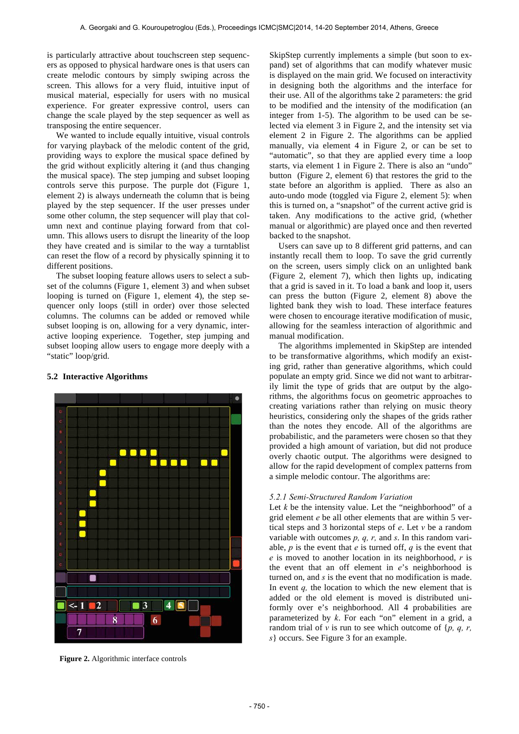is particularly attractive about touchscreen step sequencers as opposed to physical hardware ones is that users can create melodic contours by simply swiping across the screen. This allows for a very fluid, intuitive input of musical material, especially for users with no musical experience. For greater expressive control, users can change the scale played by the step sequencer as well as transposing the entire sequencer.

We wanted to include equally intuitive, visual controls for varying playback of the melodic content of the grid, providing ways to explore the musical space defined by the grid without explicitly altering it (and thus changing the musical space). The step jumping and subset looping controls serve this purpose. The purple dot (Figure 1, element 2) is always underneath the column that is being played by the step sequencer. If the user presses under some other column, the step sequencer will play that column next and continue playing forward from that column. This allows users to disrupt the linearity of the loop they have created and is similar to the way a turntablist can reset the flow of a record by physically spinning it to different positions.

The subset looping feature allows users to select a subset of the columns (Figure 1, element 3) and when subset looping is turned on (Figure 1, element 4), the step sequencer only loops (still in order) over those selected columns. The columns can be added or removed while subset looping is on, allowing for a very dynamic, interactive looping experience. Together, step jumping and subset looping allow users to engage more deeply with a "static" loop/grid.



# **5.2 Interactive Algorithms**

**Figure 2.** Algorithmic interface controls

SkipStep currently implements a simple (but soon to expand) set of algorithms that can modify whatever music is displayed on the main grid. We focused on interactivity in designing both the algorithms and the interface for their use. All of the algorithms take 2 parameters: the grid to be modified and the intensity of the modification (an integer from 1-5). The algorithm to be used can be selected via element 3 in Figure 2, and the intensity set via element 2 in Figure 2. The algorithms can be applied manually, via element 4 in Figure 2, or can be set to "automatic", so that they are applied every time a loop starts, via element 1 in Figure 2. There is also an "undo" button (Figure 2, element 6) that restores the grid to the state before an algorithm is applied. There as also an auto-undo mode (toggled via Figure 2, element 5): when this is turned on, a "snapshot" of the current active grid is taken. Any modifications to the active grid, (whether manual or algorithmic) are played once and then reverted backed to the snapshot.

Users can save up to 8 different grid patterns, and can instantly recall them to loop. To save the grid currently on the screen, users simply click on an unlighted bank (Figure 2, element 7), which then lights up, indicating that a grid is saved in it. To load a bank and loop it, users can press the button (Figure 2, element 8) above the lighted bank they wish to load. These interface features were chosen to encourage iterative modification of music, allowing for the seamless interaction of algorithmic and manual modification.

The algorithms implemented in SkipStep are intended to be transformative algorithms, which modify an existing grid, rather than generative algorithms, which could populate an empty grid. Since we did not want to arbitrarily limit the type of grids that are output by the algorithms, the algorithms focus on geometric approaches to creating variations rather than relying on music theory heuristics, considering only the shapes of the grids rather than the notes they encode. All of the algorithms are probabilistic, and the parameters were chosen so that they provided a high amount of variation, but did not produce overly chaotic output. The algorithms were designed to allow for the rapid development of complex patterns from a simple melodic contour. The algorithms are:

#### *5.2.1 Semi-Structured Random Variation*

Let  $k$  be the intensity value. Let the "neighborhood" of a grid element *e* be all other elements that are within 5 vertical steps and 3 horizontal steps of *e*. Let *v* be a random variable with outcomes *p, q, r,* and *s*. In this random variable, *p* is the event that *e* is turned off, *q* is the event that *e* is moved to another location in its neighborhood, *r* is the event that an off element in *e*'s neighborhood is turned on, and *s* is the event that no modification is made. In event *q*, the location to which the new element that is added or the old element is moved is distributed uniformly over e's neighborhood. All 4 probabilities are parameterized by *k*. For each "on" element in a grid, a random trial of *v* is run to see which outcome of {*p, q, r, s*} occurs. See Figure 3 for an example.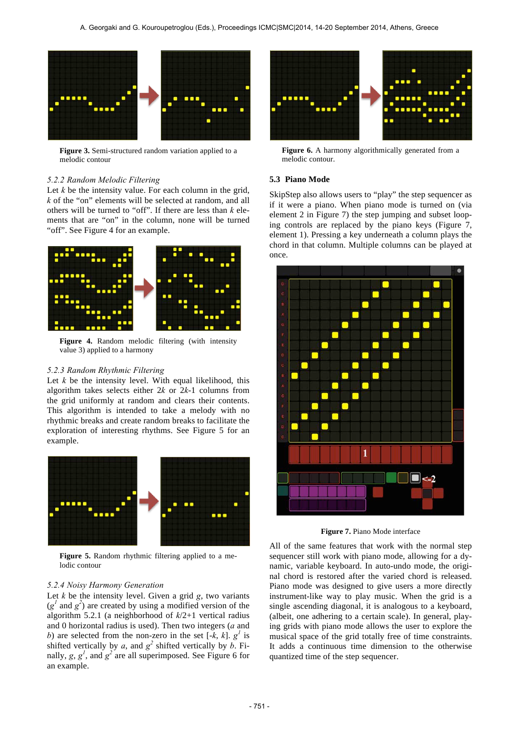

**Figure 3.** Semi-structured random variation applied to a melodic contour

#### *5.2.2 Random Melodic Filtering*

Let *k* be the intensity value. For each column in the grid, *k* of the "on" elements will be selected at random, and all others will be turned to "off". If there are less than *k* elements that are "on" in the column, none will be turned "off". See Figure 4 for an example.



**Figure 4.** Random melodic filtering (with intensity value 3) applied to a harmony

#### *5.2.3 Random Rhythmic Filtering*

Let  $k$  be the intensity level. With equal likelihood, this algorithm takes selects either 2*k* or 2*k*-1 columns from the grid uniformly at random and clears their contents. This algorithm is intended to take a melody with no rhythmic breaks and create random breaks to facilitate the exploration of interesting rhythms. See Figure 5 for an example.



**Figure 5.** Random rhythmic filtering applied to a melodic contour

#### *5.2.4 Noisy Harmony Generation*

Let  $k$  be the intensity level. Given a grid  $g$ , two variants  $(g<sup>1</sup>$  and  $g<sup>2</sup>$ ) are created by using a modified version of the algorithm 5.2.1 (a neighborhood of *k*/2+1 vertical radius and 0 horizontal radius is used). Then two integers (*a* and *b*) are selected from the non-zero in the set  $[-k, k]$ .  $g^l$  is shifted vertically by *a*, and  $g^2$  shifted vertically by *b*. Finally,  $g, g<sup>l</sup>$ , and  $g<sup>2</sup>$  are all superimposed. See Figure 6 for an example.



Figure 6. A harmony algorithmically generated from a melodic contour.

#### **5.3 Piano Mode**

SkipStep also allows users to "play" the step sequencer as if it were a piano. When piano mode is turned on (via element 2 in Figure 7) the step jumping and subset looping controls are replaced by the piano keys (Figure 7, element 1). Pressing a key underneath a column plays the chord in that column. Multiple columns can be played at once.



**Figure 7.** Piano Mode interface

All of the same features that work with the normal step sequencer still work with piano mode, allowing for a dynamic, variable keyboard. In auto-undo mode, the original chord is restored after the varied chord is released. Piano mode was designed to give users a more directly instrument-like way to play music. When the grid is a single ascending diagonal, it is analogous to a keyboard, (albeit, one adhering to a certain scale). In general, playing grids with piano mode allows the user to explore the musical space of the grid totally free of time constraints. It adds a continuous time dimension to the otherwise quantized time of the step sequencer.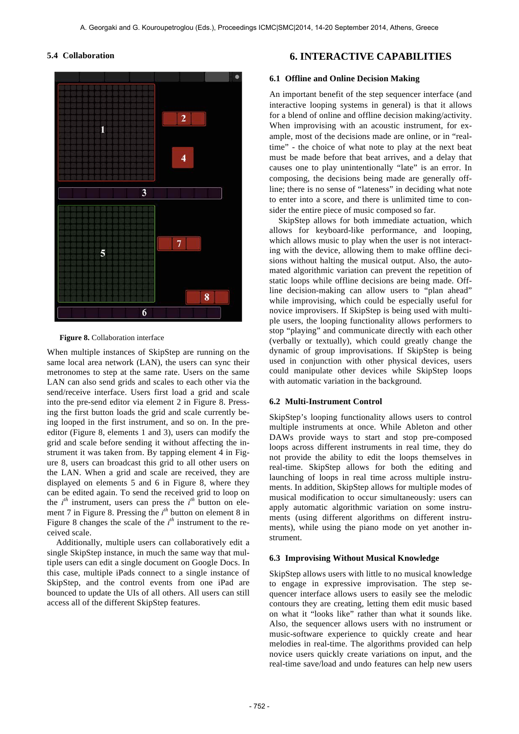#### **5.4 Collaboration**



**Figure 8.** Collaboration interface

When multiple instances of SkipStep are running on the same local area network (LAN), the users can sync their metronomes to step at the same rate. Users on the same LAN can also send grids and scales to each other via the send/receive interface. Users first load a grid and scale into the pre-send editor via element 2 in Figure 8. Pressing the first button loads the grid and scale currently being looped in the first instrument, and so on. In the preeditor (Figure 8, elements 1 and 3), users can modify the grid and scale before sending it without affecting the instrument it was taken from. By tapping element 4 in Figure 8, users can broadcast this grid to all other users on the LAN. When a grid and scale are received, they are displayed on elements 5 and 6 in Figure 8, where they can be edited again. To send the received grid to loop on the  $i^{th}$  instrument, users can press the  $i^{th}$  button on element 7 in Figure 8. Pressing the *i th* button on element 8 in Figure 8 changes the scale of the  $i<sup>th</sup>$  instrument to the received scale.

Additionally, multiple users can collaboratively edit a single SkipStep instance, in much the same way that multiple users can edit a single document on Google Docs. In this case, multiple iPads connect to a single instance of SkipStep, and the control events from one iPad are bounced to update the UIs of all others. All users can still access all of the different SkipStep features.

# **6. INTERACTIVE CAPABILITIES**

#### **6.1 Offline and Online Decision Making**

An important benefit of the step sequencer interface (and interactive looping systems in general) is that it allows for a blend of online and offline decision making/activity. When improvising with an acoustic instrument, for example, most of the decisions made are online, or in "realtime" - the choice of what note to play at the next beat must be made before that beat arrives, and a delay that causes one to play unintentionally "late" is an error. In composing, the decisions being made are generally offline; there is no sense of "lateness" in deciding what note to enter into a score, and there is unlimited time to consider the entire piece of music composed so far.

SkipStep allows for both immediate actuation, which allows for keyboard-like performance, and looping, which allows music to play when the user is not interacting with the device, allowing them to make offline decisions without halting the musical output. Also, the automated algorithmic variation can prevent the repetition of static loops while offline decisions are being made. Offline decision-making can allow users to "plan ahead" while improvising, which could be especially useful for novice improvisers. If SkipStep is being used with multiple users, the looping functionality allows performers to stop "playing" and communicate directly with each other (verbally or textually), which could greatly change the dynamic of group improvisations. If SkipStep is being used in conjunction with other physical devices, users could manipulate other devices while SkipStep loops with automatic variation in the background.

#### **6.2 Multi-Instrument Control**

SkipStep's looping functionality allows users to control multiple instruments at once. While Ableton and other DAWs provide ways to start and stop pre-composed loops across different instruments in real time, they do not provide the ability to edit the loops themselves in real-time. SkipStep allows for both the editing and launching of loops in real time across multiple instruments. In addition, SkipStep allows for multiple modes of musical modification to occur simultaneously: users can apply automatic algorithmic variation on some instruments (using different algorithms on different instruments), while using the piano mode on yet another instrument.

### **6.3 Improvising Without Musical Knowledge**

SkipStep allows users with little to no musical knowledge to engage in expressive improvisation. The step sequencer interface allows users to easily see the melodic contours they are creating, letting them edit music based on what it "looks like" rather than what it sounds like. Also, the sequencer allows users with no instrument or music-software experience to quickly create and hear melodies in real-time. The algorithms provided can help novice users quickly create variations on input, and the real-time save/load and undo features can help new users